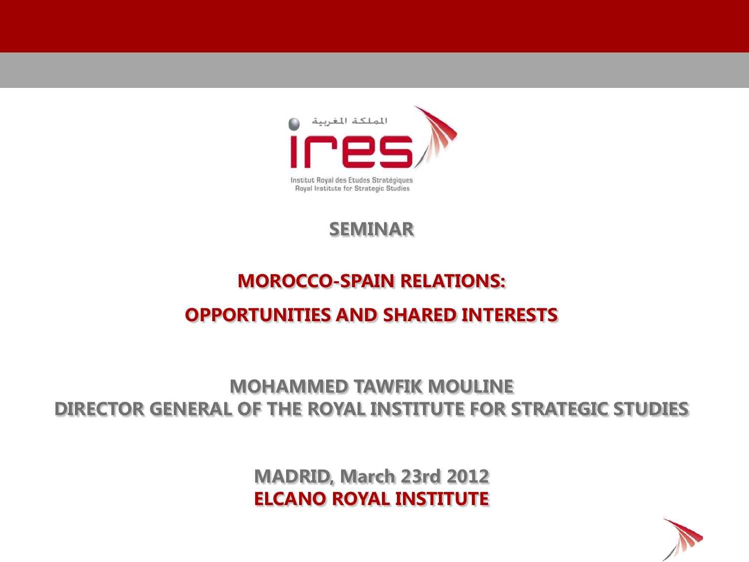

#### **SEMINAR**

# **MOROCCO-SPAIN RELATIONS: OPPORTUNITIES AND SHARED INTERESTS**

#### **MOHAMMED TAWFIK MOULINE DIRECTOR GENERAL OF THE ROYAL INSTITUTE FOR STRATEGIC STUDIES**

**MADRID, March 23rd 2012 ELCANO ROYAL INSTITUTE**

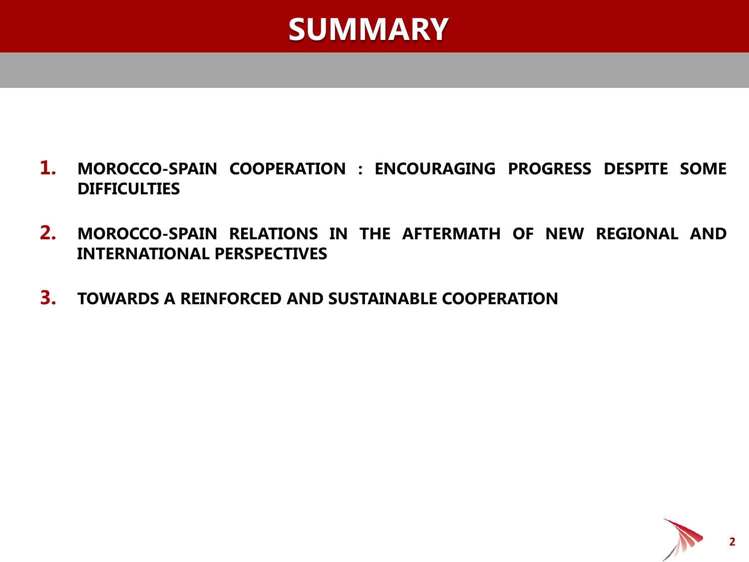

- **1. MOROCCO-SPAIN COOPERATION : ENCOURAGING PROGRESS DESPITE SOME DIFFICULTIES**
- **2. MOROCCO-SPAIN RELATIONS IN THE AFTERMATH OF NEW REGIONAL AND INTERNATIONAL PERSPECTIVES**
- **3. TOWARDS A REINFORCED AND SUSTAINABLE COOPERATION**

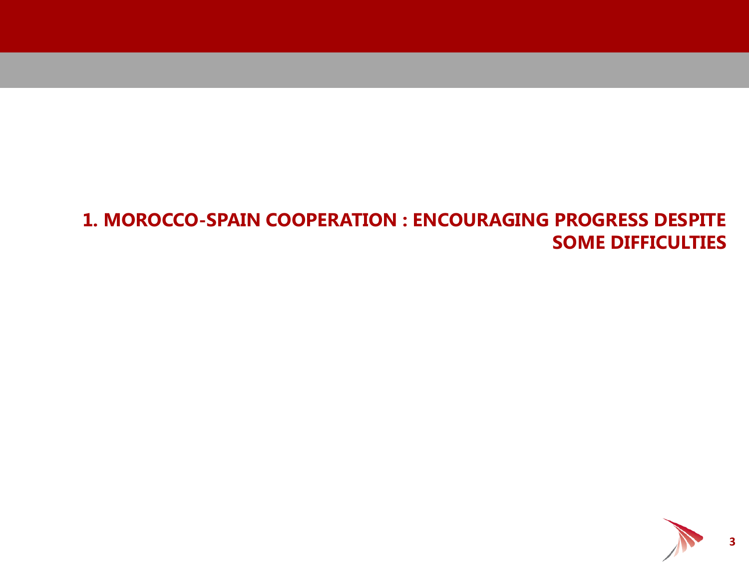#### **1. MOROCCO-SPAIN COOPERATION : ENCOURAGING PROGRESS DESPITE SOME DIFFICULTIES**



**3**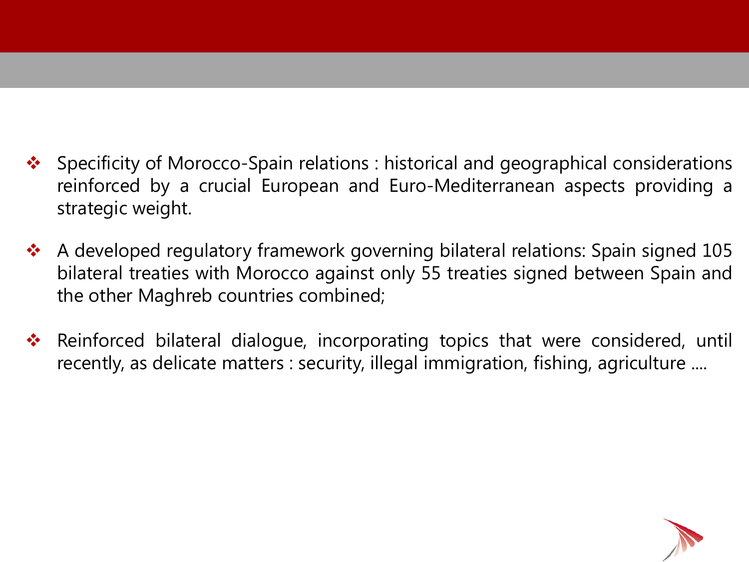- ◆ Specificity of Morocco-Spain relations : historical and geographical considerations reinforced by a crucial European and Euro-Mediterranean aspects providing a strategic weight.
- ◆ A developed regulatory framework governing bilateral relations: Spain signed 105 bilateral treaties with Morocco against only 55 treaties signed between Spain and the other Maghreb countries combined;
- **\*** Reinforced bilateral dialogue, incorporating topics that were considered, until recently, as delicate matters : security, illegal immigration, fishing, agriculture ....

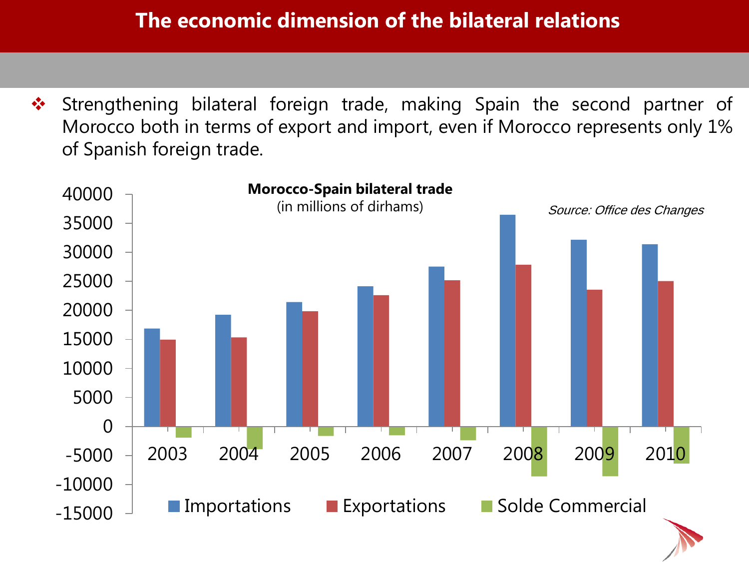#### **The economic dimension of the bilateral relations**

◆ Strengthening bilateral foreign trade, making Spain the second partner of Morocco both in terms of export and import, even if Morocco represents only 1% of Spanish foreign trade.

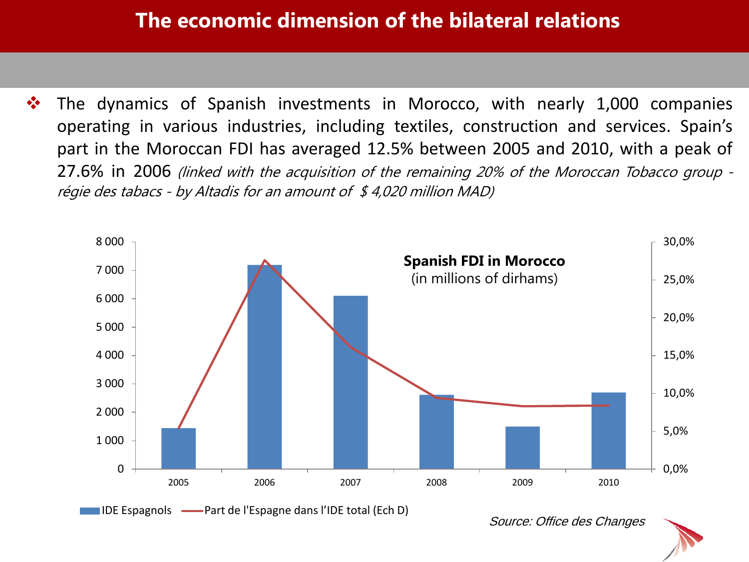#### **The economic dimension of the bilateral relations**

 $\cdot$  The dynamics of Spanish investments in Morocco, with nearly 1,000 companies operating in various industries, including textiles, construction and services. Spain's part in the Moroccan FDI has averaged 12.5% between 2005 and 2010, with a peak of 27.6% in 2006 (linked with the acquisition of the remaining 20% of the Moroccan Tobacco group régie des tabacs - by Altadis for an amount of  $$4,020$  million MAD)



Source: Office des Changes

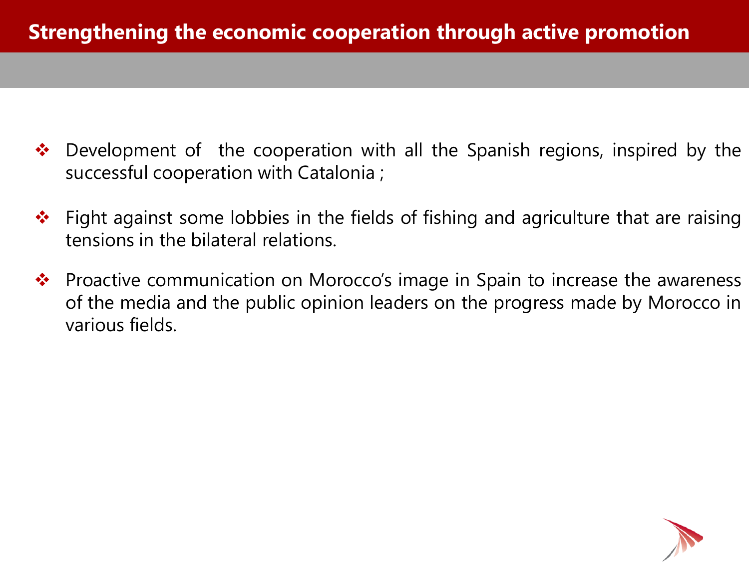- Development of the cooperation with all the Spanish regions, inspired by the successful cooperation with Catalonia ;
- Fight against some lobbies in the fields of fishing and agriculture that are raising tensions in the bilateral relations.
- $\cdot$  **Proactive communication on Morocco's image in Spain to increase the awareness** of the media and the public opinion leaders on the progress made by Morocco in various fields.

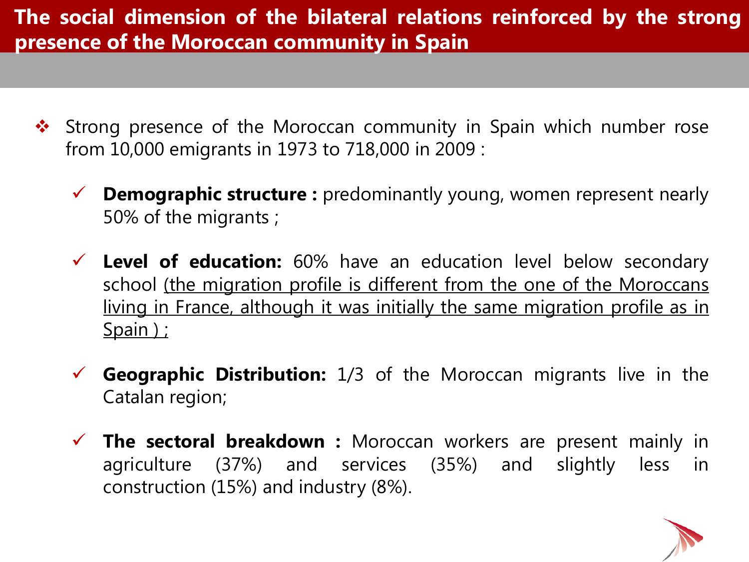## **The social dimension of the bilateral relations reinforced by the strong presence of the Moroccan community in Spain**

- ❖ Strong presence of the Moroccan community in Spain which number rose from 10,000 emigrants in 1973 to 718,000 in 2009 :
	- **Demographic structure :** predominantly young, women represent nearly 50% of the migrants ;
	- **Level of education:** 60% have an education level below secondary school (the migration profile is different from the one of the Moroccans living in France, although it was initially the same migration profile as in Spain ) ;
	- **Geographic Distribution:** 1/3 of the Moroccan migrants live in the Catalan region;
	- **The sectoral breakdown :** Moroccan workers are present mainly in agriculture (37%) and services (35%) and slightly less in construction (15%) and industry (8%).

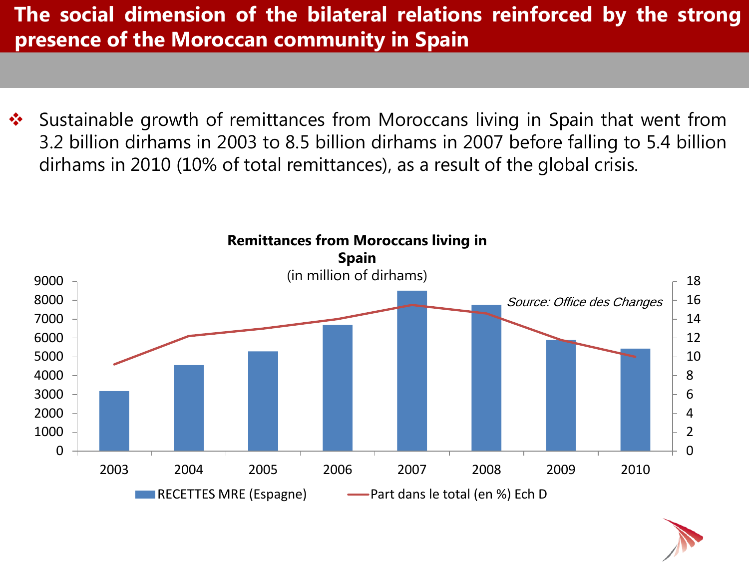**The social dimension of the bilateral relations reinforced by the strong presence of the Moroccan community in Spain**

◆ Sustainable growth of remittances from Moroccans living in Spain that went from 3.2 billion dirhams in 2003 to 8.5 billion dirhams in 2007 before falling to 5.4 billion dirhams in 2010 (10% of total remittances), as a result of the global crisis.



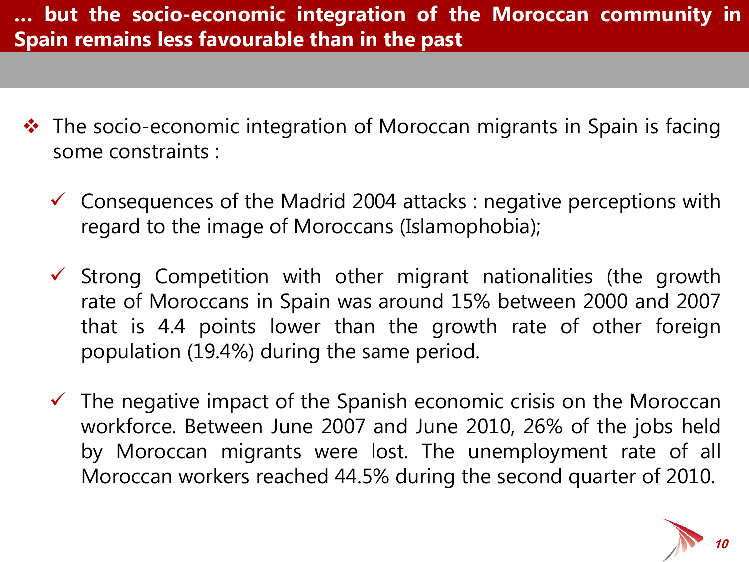- $\cdot \cdot$  The socio-economic integration of Moroccan migrants in Spain is facing some constraints :
	- $\checkmark$  Consequences of the Madrid 2004 attacks : negative perceptions with regard to the image of Moroccans (Islamophobia);
	- $\checkmark$  Strong Competition with other migrant nationalities (the growth rate of Moroccans in Spain was around 15% between 2000 and 2007 that is 4.4 points lower than the growth rate of other foreign population (19.4%) during the same period.
	- $\checkmark$  The negative impact of the Spanish economic crisis on the Moroccan workforce. Between June 2007 and June 2010, 26% of the jobs held by Moroccan migrants were lost. The unemployment rate of all Moroccan workers reached 44.5% during the second quarter of 2010.

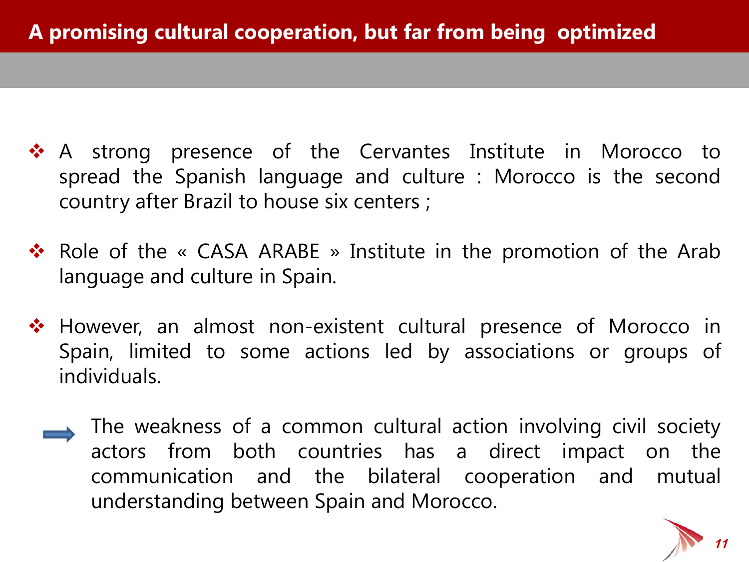- ◆ A strong presence of the Cervantes Institute in Morocco to spread the Spanish language and culture : Morocco is the second country after Brazil to house six centers ;
- **\*** Role of the « CASA ARABE » Institute in the promotion of the Arab language and culture in Spain.
- ◆ However, an almost non-existent cultural presence of Morocco in Spain, limited to some actions led by associations or groups of individuals.
	- The weakness of a common cultural action involving civil society actors from both countries has a direct impact on the communication and the bilateral cooperation and mutual understanding between Spain and Morocco.

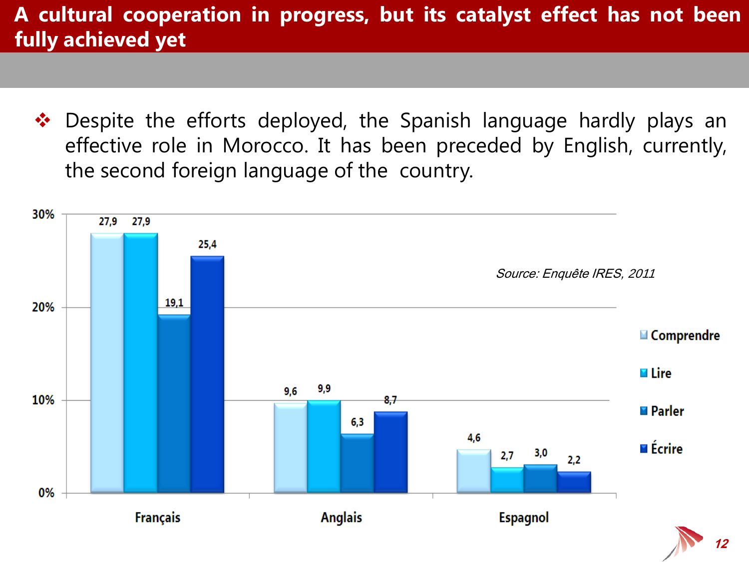### **A cultural cooperation in progress, but its catalyst effect has not been fully achieved yet**

◆ Despite the efforts deployed, the Spanish language hardly plays an effective role in Morocco. It has been preceded by English, currently, the second foreign language of the country.

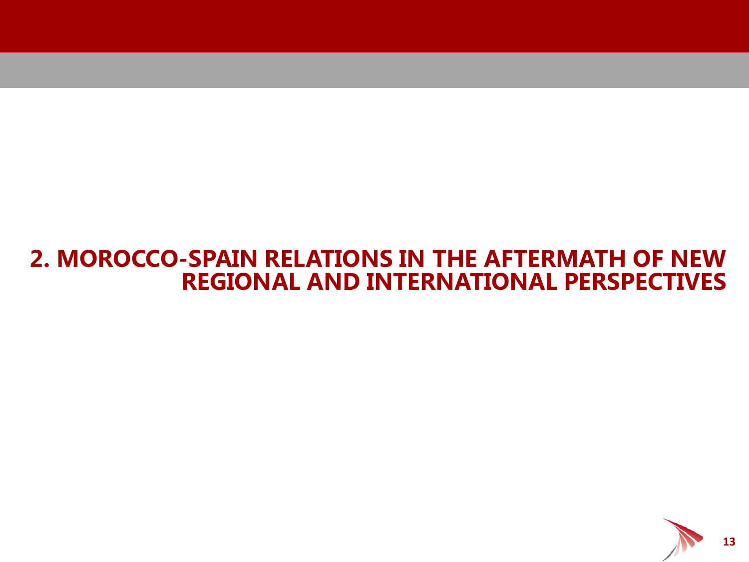## **2. MOROCCO-SPAIN RELATIONS IN THE AFTERMATH OF NEW REGIONAL AND INTERNATIONAL PERSPECTIVES**

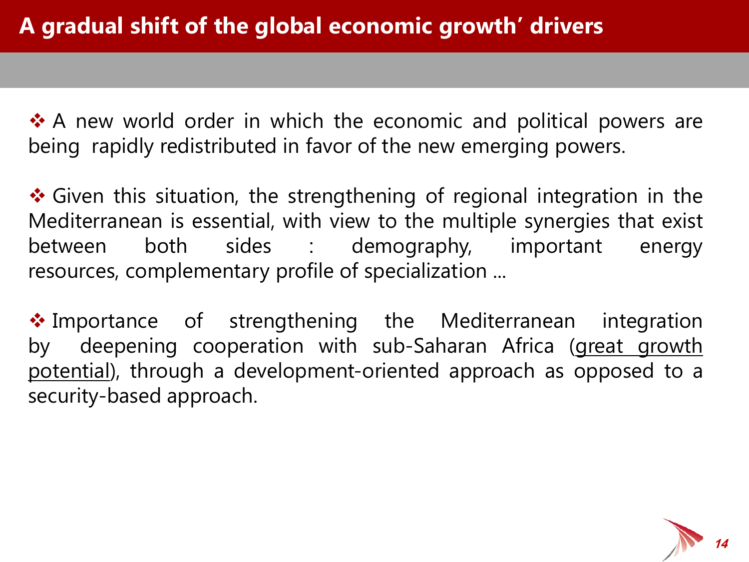◆ A new world order in which the economic and political powers are being rapidly redistributed in favor of the new emerging powers.

❖ Given this situation, the strengthening of regional integration in the Mediterranean is essential, with view to the multiple synergies that exist between both sides : demography, important energy resources, complementary profile of specialization ...

◆ Importance of strengthening the Mediterranean integration by deepening cooperation with sub-Saharan Africa (great growth potential), through a development-oriented approach as opposed to a security-based approach.

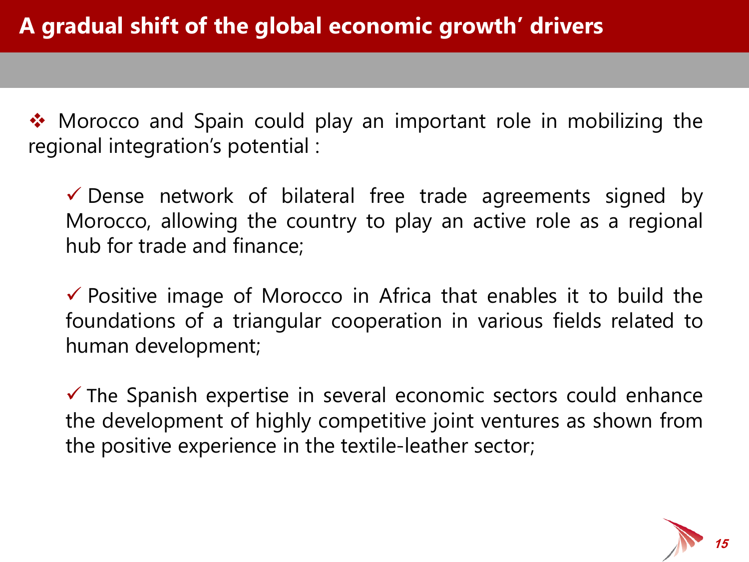• Morocco and Spain could play an important role in mobilizing the regional integration's potential :

 Dense network of bilateral free trade agreements signed by Morocco, allowing the country to play an active role as a regional hub for trade and finance;

 $\checkmark$  Positive image of Morocco in Africa that enables it to build the foundations of a triangular cooperation in various fields related to human development;

 $\checkmark$  The Spanish expertise in several economic sectors could enhance the development of highly competitive joint ventures as shown from the positive experience in the textile-leather sector;

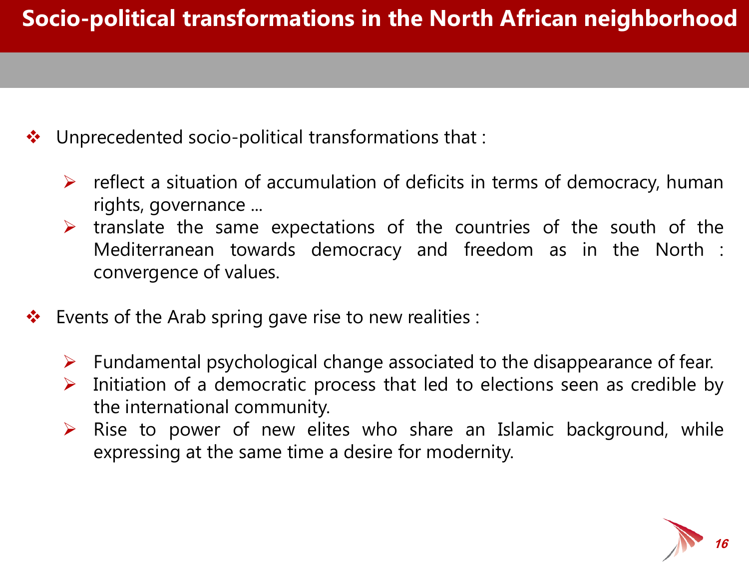- Unprecedented socio-political transformations that :
	- $\triangleright$  reflect a situation of accumulation of deficits in terms of democracy, human rights, governance ...
	- $\triangleright$  translate the same expectations of the countries of the south of the Mediterranean towards democracy and freedom as in the North : convergence of values.
- Events of the Arab spring gave rise to new realities :
	- $\triangleright$  Fundamental psychological change associated to the disappearance of fear.
	- $\triangleright$  Initiation of a democratic process that led to elections seen as credible by the international community.
	- $\triangleright$  Rise to power of new elites who share an Islamic background, while expressing at the same time a desire for modernity.

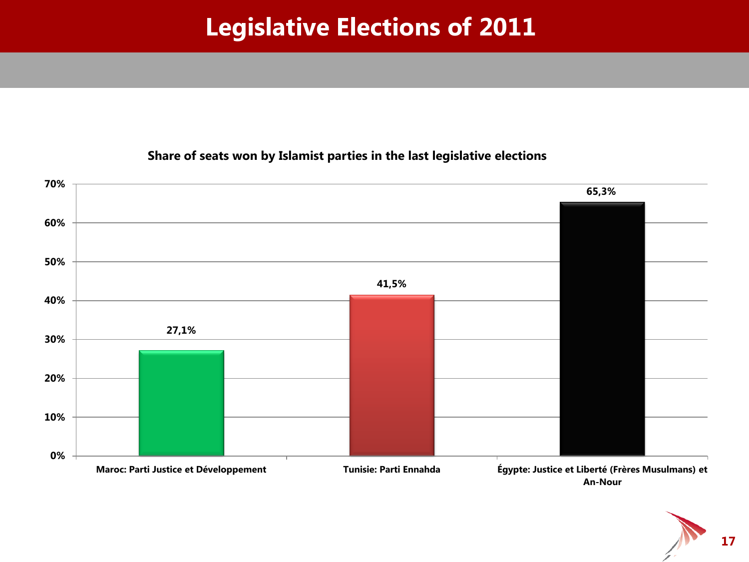# **Legislative Elections of 2011**



#### **Share of seats won by Islamist parties in the last legislative elections**

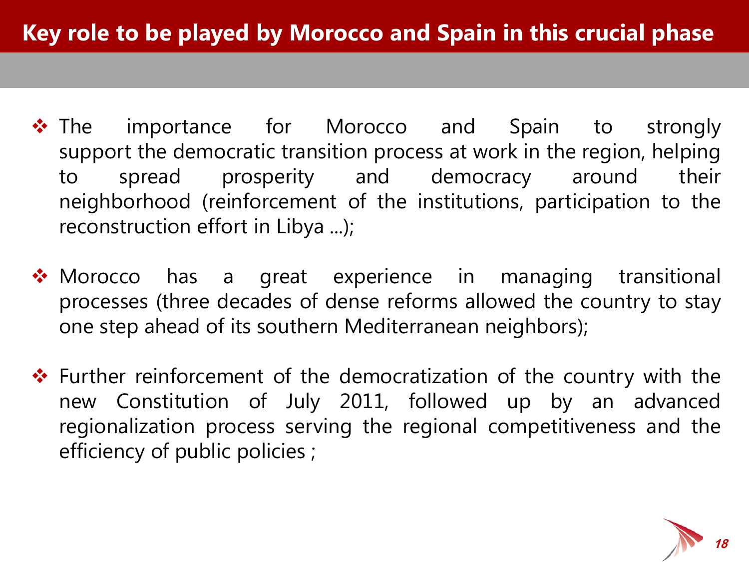- \* The importance for Morocco and Spain to strongly support the democratic transition process at work in the region, helping to spread prosperity and democracy around their neighborhood (reinforcement of the institutions, participation to the reconstruction effort in Libya ...);
- ◆ Morocco has a great experience in managing transitional processes (three decades of dense reforms allowed the country to stay one step ahead of its southern Mediterranean neighbors);
- $\cdot \cdot$  Further reinforcement of the democratization of the country with the new Constitution of July 2011, followed up by an advanced regionalization process serving the regional competitiveness and the efficiency of public policies ;

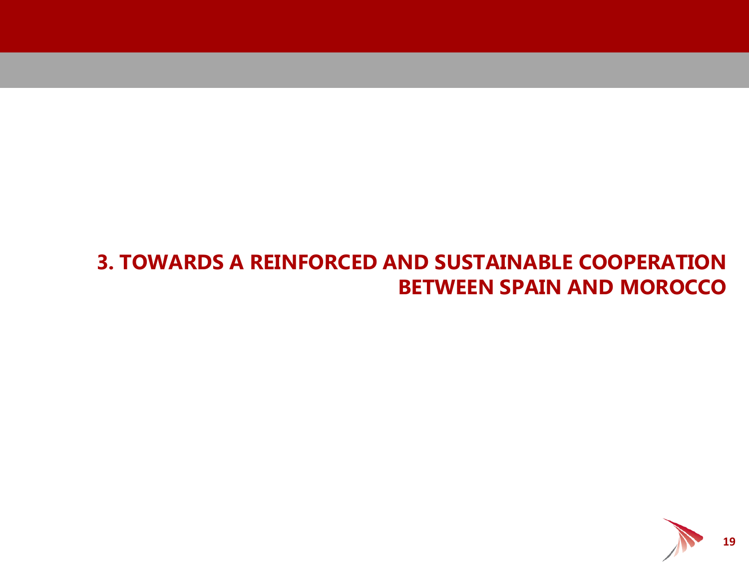#### **3. TOWARDS A REINFORCED AND SUSTAINABLE COOPERATION BETWEEN SPAIN AND MOROCCO**

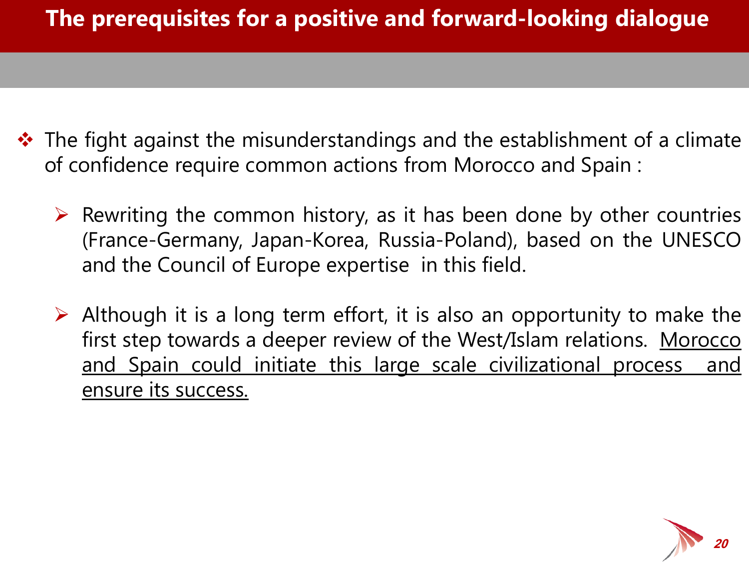- $\cdot$  The fight against the misunderstandings and the establishment of a climate of confidence require common actions from Morocco and Spain :
	- $\triangleright$  Rewriting the common history, as it has been done by other countries (France-Germany, Japan-Korea, Russia-Poland), based on the UNESCO and the Council of Europe expertise in this field.
	- $\triangleright$  Although it is a long term effort, it is also an opportunity to make the first step towards a deeper review of the West/Islam relations. Morocco and Spain could initiate this large scale civilizational process and ensure its success.

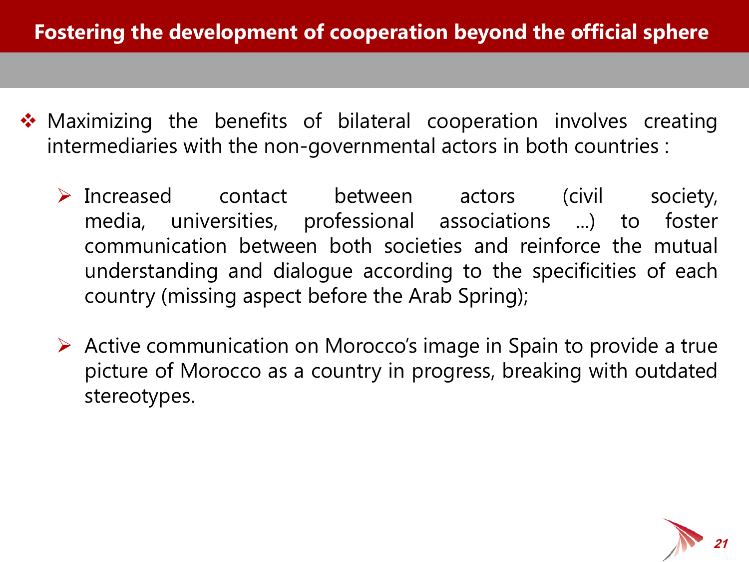- Maximizing the benefits of bilateral cooperation involves creating intermediaries with the non-governmental actors in both countries :
	- > Increased contact between actors (civil society, media, universities, professional associations ...) to foster communication between both societies and reinforce the mutual understanding and dialogue according to the specificities of each country (missing aspect before the Arab Spring);
	- $\triangleright$  Active communication on Morocco's image in Spain to provide a true picture of Morocco as a country in progress, breaking with outdated stereotypes.

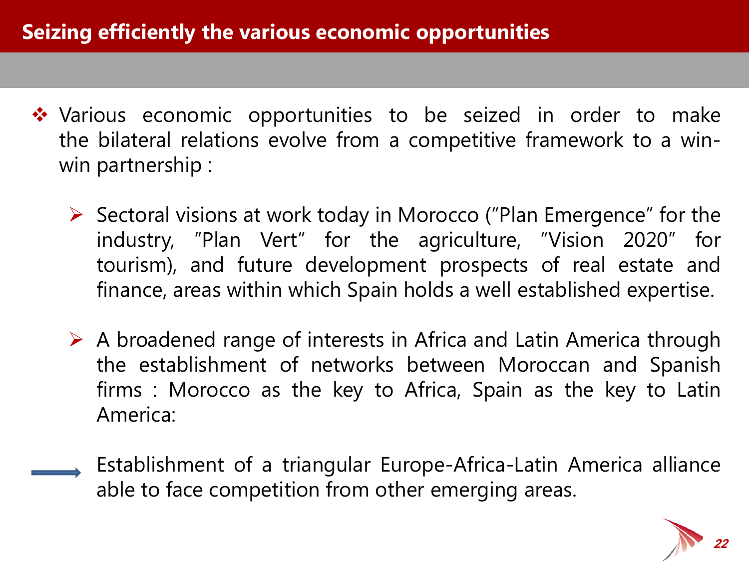- ◆ Various economic opportunities to be seized in order to make the bilateral relations evolve from a competitive framework to a winwin partnership :
	- $\triangleright$  Sectoral visions at work today in Morocco ("Plan Emergence" for the industry, "Plan Vert" for the agriculture, "Vision 2020" for tourism), and future development prospects of real estate and finance, areas within which Spain holds a well established expertise.
	- $\triangleright$  A broadened range of interests in Africa and Latin America through the establishment of networks between Moroccan and Spanish firms : Morocco as the key to Africa, Spain as the key to Latin America:
		- Establishment of a triangular Europe-Africa-Latin America alliance able to face competition from other emerging areas.

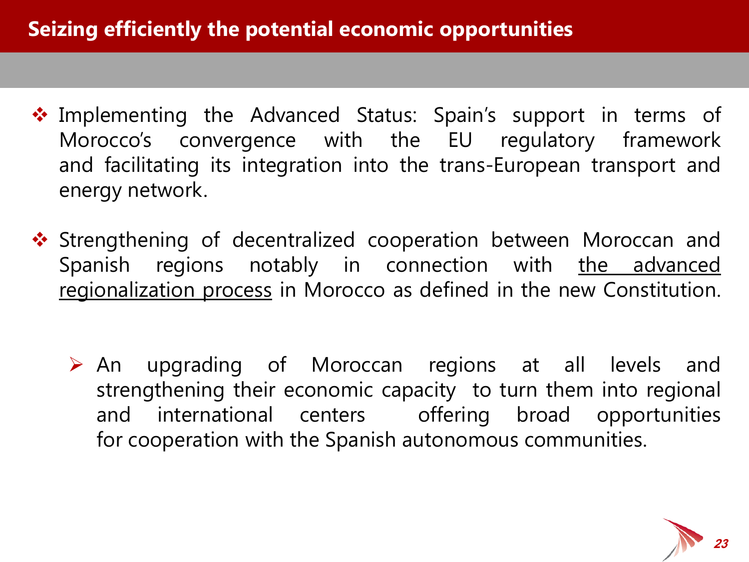- Implementing the Advanced Status: Spain's support in terms of Morocco's convergence with the EU regulatory framework and facilitating its integration into the trans-European transport and energy network.
- $\dots$  Strengthening of decentralized cooperation between Moroccan and Spanish regions notably in connection with the advanced regionalization process in Morocco as defined in the new Constitution.
	- An upgrading of Moroccan regions at all levels and strengthening their economic capacity to turn them into regional and international centers offering broad opportunities for cooperation with the Spanish autonomous communities.

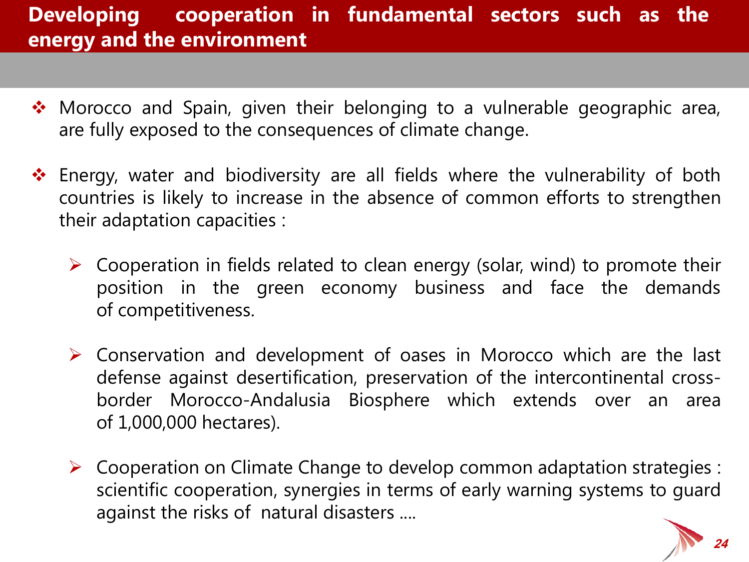## **Developing cooperation in fundamental sectors such as the energy and the environment**

- Morocco and Spain, given their belonging to a vulnerable geographic area, are fully exposed to the consequences of climate change.
- ❖ Energy, water and biodiversity are all fields where the vulnerability of both countries is likely to increase in the absence of common efforts to strengthen their adaptation capacities :
	- $\triangleright$  Cooperation in fields related to clean energy (solar, wind) to promote their position in the green economy business and face the demands of competitiveness.
	- $\triangleright$  Conservation and development of oases in Morocco which are the last defense against desertification, preservation of the intercontinental crossborder Morocco-Andalusia Biosphere which extends over an area of 1,000,000 hectares).
	- $\triangleright$  Cooperation on Climate Change to develop common adaptation strategies : scientific cooperation, synergies in terms of early warning systems to guard against the risks of natural disasters ....